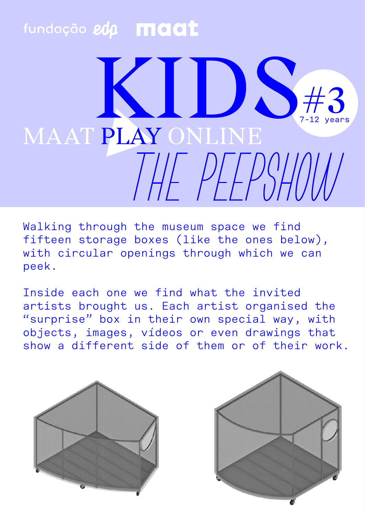## fundação edp **maat**

## $<$   $\sqrt{2}$ 7-12 years MAAT PLAY ONLINE  $HFPSHUN$

Walking through the museum space we find fifteen storage boxes (like the ones below), with circular openings through which we can peek.

Inside each one we find what the invited artists brought us. Each artist organised the "surprise" box in their own special way, with objects, images, vídeos or even drawings that show a different side of them or of their work.



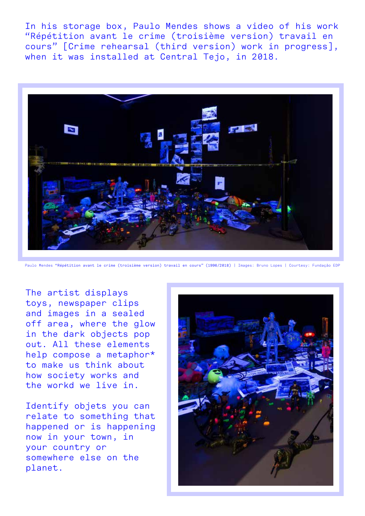In his storage box, Paulo Mendes shows a video of his work "Répétition avant le crime (troisième version) travail en cours" [Crime rehearsal (third version) work in progress], when it was installed at Central Tejo, in 2018.



Paulo Mendes "Répétition avant le crime (troisième version) travail en cours" (1996/2018) | Images: Bruno Lopes | Courtesy: Fundação EDP

The artist displays toys, newspaper clips and images in a sealed off area, where the glow in the dark objects pop out. All these elements help compose a metaphor\* to make us think about how society works and the workd we live in.

Identify objets you can relate to something that happened or is happening now in your town, in your country or somewhere else on the planet.